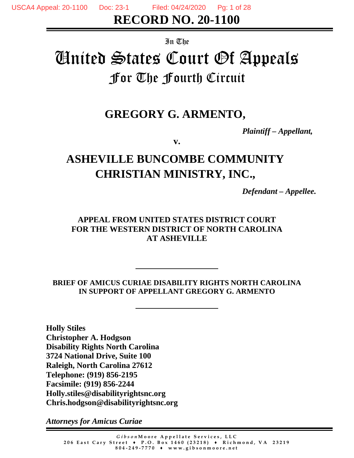USCA4 Appeal: 20-1100 Doc: 23-1 Filed: 04/24/2020 Pg: 1 of 28

**RECORD NO. 20-1100**

In The

# United States Court Of Appeals For The Fourth Circuit

# **GREGORY G. ARMENTO,**

*Plaintiff – Appellant,*

**v.**

# **ASHEVILLE BUNCOMBE COMMUNITY CHRISTIAN MINISTRY, INC.,**

*Defendant – Appellee.*

**APPEAL FROM UNITED STATES DISTRICT COURT FOR THE WESTERN DISTRICT OF NORTH CAROLINA AT ASHEVILLE** 

**BRIEF OF AMICUS CURIAE DISABILITY RIGHTS NORTH CAROLINA IN SUPPORT OF APPELLANT GREGORY G. ARMENTO** 

**Holly Stiles Christopher A. Hodgson Disability Rights North Carolina 3724 National Drive, Suite 100 Raleigh, North Carolina 27612 Telephone: (919) 856-2195 Facsimile: (919) 856-2244 Holly.stiles@disabilityrightsnc.org Chris.hodgson@disabilityrightsnc.org**

*Attorneys for Amicus Curiae*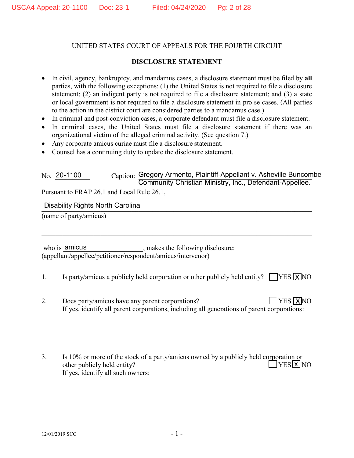#### UNITED STATES COURT OF APPEALS FOR THE FOURTH CIRCUIT

#### **DISCLOSURE STATEMENT**

- In civil, agency, bankruptcy, and mandamus cases, a disclosure statement must be filed by **all** parties, with the following exceptions: (1) the United States is not required to file a disclosure statement; (2) an indigent party is not required to file a disclosure statement; and (3) a state or local government is not required to file a disclosure statement in pro se cases. (All parties to the action in the district court are considered parties to a mandamus case.)
- In criminal and post-conviction cases, a corporate defendant must file a disclosure statement.
- In criminal cases, the United States must file a disclosure statement if there was an organizational victim of the alleged criminal activity. (See question 7.)
- Any corporate amicus curiae must file a disclosure statement.
- Counsel has a continuing duty to update the disclosure statement.

No. 20-1100 \_\_\_\_\_\_\_\_\_\_\_\_\_\_\_\_\_\_\_Gregory Armento, Plaintiff-Appellant v. Asheville Buncombe Community Christian Ministry, Inc., Defendant-Appellee.

Pursuant to FRAP 26.1 and Local Rule 26.1,

Disability Rights North Carolina

(name of party/amicus)

, makes the following disclosure: (appellant/appellee/petitioner/respondent/amicus/intervenor) who is amicus

1. Is party/amicus a publicly held corporation or other publicly held entity?  $\Box$  YES  $\Box$  NO

\_\_\_\_\_\_\_\_\_\_\_\_\_\_\_\_\_\_\_\_\_\_\_\_\_\_\_\_\_\_\_\_\_\_\_\_\_\_\_\_\_\_\_\_\_\_\_\_\_\_\_\_\_\_\_\_\_\_\_\_\_\_\_\_\_\_\_\_\_\_\_\_\_\_\_\_\_\_

- 2. Does party/amicus have any parent corporations? If yes, identify all parent corporations, including all generations of parent corporations:  $\Box$ YES XNO
- 3. Is 10% or more of the stock of a party/amicus owned by a publicly held corporation or other publicly held entity? If yes, identify all such owners:  $YES[X]NO$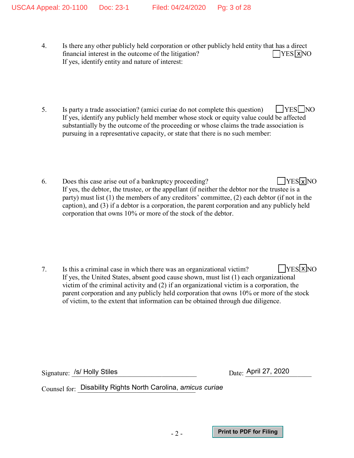- 4. Is there any other publicly held corporation or other publicly held entity that has a direct financial interest in the outcome of the litigation? If yes, identify entity and nature of interest:  $\Box$ YES XNO
- 5. Is party a trade association? (amici curiae do not complete this question) VES NO If yes, identify any publicly held member whose stock or equity value could be affected substantially by the outcome of the proceeding or whose claims the trade association is pursuing in a representative capacity, or state that there is no such member:
- 6. Does this case arise out of a bankruptcy proceeding? If yes, the debtor, the trustee, or the appellant (if neither the debtor nor the trustee is a party) must list (1) the members of any creditors' committee, (2) each debtor (if not in the caption), and (3) if a debtor is a corporation, the parent corporation and any publicly held corporation that owns 10% or more of the stock of the debtor.  $YES[X]NO$

7. Is this a criminal case in which there was an organizational victim? If yes, the United States, absent good cause shown, must list (1) each organizational victim of the criminal activity and (2) if an organizational victim is a corporation, the parent corporation and any publicly held corporation that owns 10% or more of the stock of victim, to the extent that information can be obtained through due diligence.  $T<sub>YES</sub>NO$ 

Signature: /s/ Holly Stiles

 $_{\text{Date}}$  April 27, 2020

Counsel for: \_\_\_\_\_\_\_\_\_\_\_\_\_\_\_\_\_\_\_\_\_\_\_\_\_\_\_\_\_\_\_\_\_\_ Disability Rights North Carolina, a*micus curiae*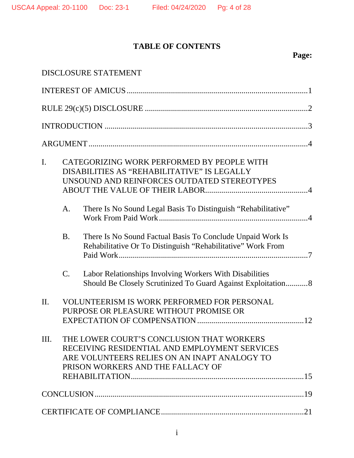# **TABLE OF CONTENTS**

## **Page:**

|                |                 | <b>DISCLOSURE STATEMENT</b>                                                                                                                                                     |
|----------------|-----------------|---------------------------------------------------------------------------------------------------------------------------------------------------------------------------------|
|                |                 |                                                                                                                                                                                 |
|                |                 |                                                                                                                                                                                 |
|                |                 |                                                                                                                                                                                 |
|                |                 |                                                                                                                                                                                 |
| $\mathbf{I}$ . |                 | CATEGORIZING WORK PERFORMED BY PEOPLE WITH<br>DISABILITIES AS "REHABILITATIVE" IS LEGALLY<br>UNSOUND AND REINFORCES OUTDATED STEREOTYPES                                        |
|                | A <sub>1</sub>  | There Is No Sound Legal Basis To Distinguish "Rehabilitative"                                                                                                                   |
|                | <b>B.</b>       | There Is No Sound Factual Basis To Conclude Unpaid Work Is<br>Rehabilitative Or To Distinguish "Rehabilitative" Work From                                                       |
|                | $\mathcal{C}$ . | Labor Relationships Involving Workers With Disabilities<br>Should Be Closely Scrutinized To Guard Against Exploitation 8                                                        |
| II.            |                 | <b>VOLUNTEERISM IS WORK PERFORMED FOR PERSONAL</b><br>PURPOSE OR PLEASURE WITHOUT PROMISE OR                                                                                    |
| III.           |                 | THE LOWER COURT'S CONCLUSION THAT WORKERS<br>RECEIVING RESIDENTIAL AND EMPLOYMENT SERVICES<br>ARE VOLUNTEERS RELIES ON AN INAPT ANALOGY TO<br>PRISON WORKERS AND THE FALLACY OF |
|                |                 |                                                                                                                                                                                 |
|                |                 |                                                                                                                                                                                 |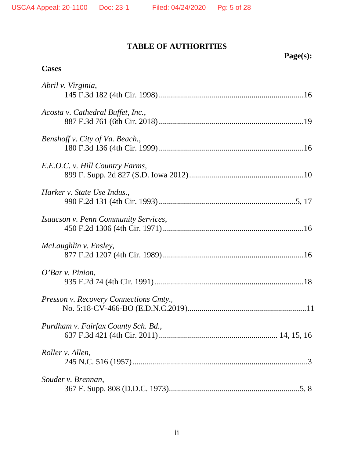### **TABLE OF AUTHORITIES**

# **Page(s):**

| Abril v. Virginia,                          |
|---------------------------------------------|
| Acosta v. Cathedral Buffet, Inc.,           |
| Benshoff v. City of Va. Beach.,             |
| E.E.O.C. v. Hill Country Farms,             |
| Harker v. State Use Indus.,                 |
| <i>Isaacson v. Penn Community Services,</i> |
| McLaughlin v. Ensley,                       |
| $O'Bar$ v. Pinion,                          |
| Presson v. Recovery Connections Cmty.,      |
| Purdham v. Fairfax County Sch. Bd.,         |
| Roller v. Allen,                            |
| Souder v. Brennan,                          |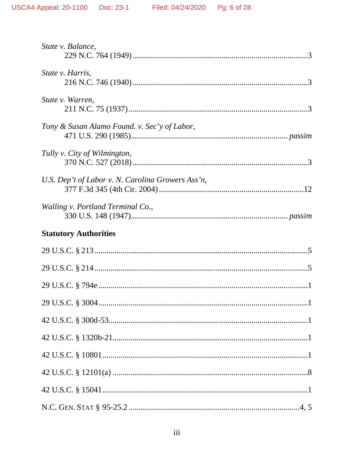| State v. Balance,                                 |
|---------------------------------------------------|
| State v. Harris,                                  |
| State v. Warren,                                  |
| Tony & Susan Alamo Found. v. Sec'y of Labor,      |
| Tully v. City of Wilmington,                      |
| U.S. Dep't of Labor v. N. Carolina Growers Ass'n, |
| Walling v. Portland Terminal Co.,                 |
|                                                   |
| <b>Statutory Authorities</b>                      |
|                                                   |
|                                                   |
|                                                   |
|                                                   |
|                                                   |
|                                                   |
|                                                   |
|                                                   |
|                                                   |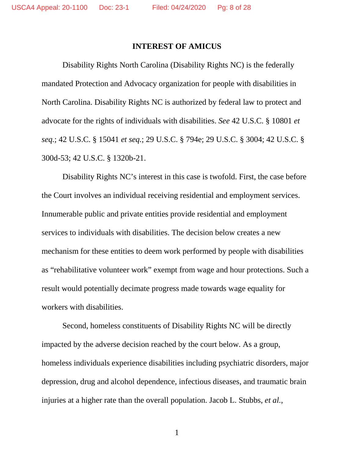#### **INTEREST OF AMICUS**

Disability Rights North Carolina (Disability Rights NC) is the federally mandated Protection and Advocacy organization for people with disabilities in North Carolina. Disability Rights NC is authorized by federal law to protect and advocate for the rights of individuals with disabilities. *See* 42 U.S.C. § 10801 *et seq.*; 42 U.S.C. § 15041 *et seq.*; 29 U.S.C. § 794e; 29 U.S.C. § 3004; 42 U.S.C. § 300d-53; 42 U.S.C. § 1320b-21.

Disability Rights NC's interest in this case is twofold. First, the case before the Court involves an individual receiving residential and employment services. Innumerable public and private entities provide residential and employment services to individuals with disabilities. The decision below creates a new mechanism for these entities to deem work performed by people with disabilities as "rehabilitative volunteer work" exempt from wage and hour protections. Such a result would potentially decimate progress made towards wage equality for workers with disabilities.

Second, homeless constituents of Disability Rights NC will be directly impacted by the adverse decision reached by the court below. As a group, homeless individuals experience disabilities including psychiatric disorders, major depression, drug and alcohol dependence, infectious diseases, and traumatic brain injuries at a higher rate than the overall population. Jacob L. Stubbs, *et al.*,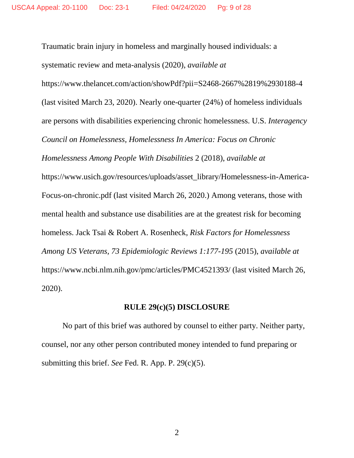Traumatic brain injury in homeless and marginally housed individuals: a systematic review and meta-analysis (2020), *available at* https://www.thelancet.com/action/showPdf?pii=S2468-2667%2819%2930188-4 (last visited March 23, 2020). Nearly one-quarter (24%) of homeless individuals are persons with disabilities experiencing chronic homelessness. U.S. *Interagency Council on Homelessness, Homelessness In America: Focus on Chronic Homelessness Among People With Disabilities* 2 (2018), *available at*  https://www.usich.gov/resources/uploads/asset\_library/Homelessness-in-America-Focus-on-chronic.pdf (last visited March 26, 2020.) Among veterans, those with mental health and substance use disabilities are at the greatest risk for becoming homeless. Jack Tsai & Robert A. Rosenheck, *Risk Factors for Homelessness Among US Veterans, 73 Epidemiologic Reviews 1:177-195* (2015), *available at* https://www.ncbi.nlm.nih.gov/pmc/articles/PMC4521393/ (last visited March 26, 2020).

#### **RULE 29(c)(5) DISCLOSURE**

No part of this brief was authored by counsel to either party. Neither party, counsel, nor any other person contributed money intended to fund preparing or submitting this brief. *See* Fed. R. App. P. 29(c)(5).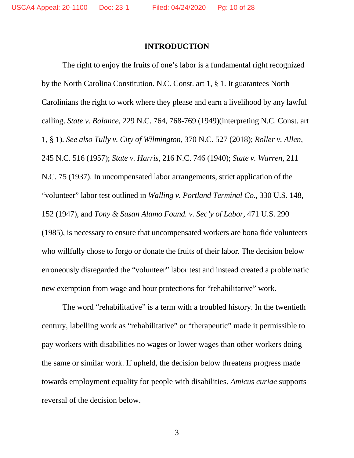#### **INTRODUCTION**

The right to enjoy the fruits of one's labor is a fundamental right recognized by the North Carolina Constitution. N.C. Const. art 1, § 1. It guarantees North Carolinians the right to work where they please and earn a livelihood by any lawful calling. *State v. Balance,* 229 N.C. 764, 768-769 (1949)(interpreting N.C. Const. art 1, § 1). *See also Tully v. City of Wilmington*, 370 N.C. 527 (2018); *Roller v. Allen*, 245 N.C. 516 (1957); *State v. Harris*, 216 N.C. 746 (1940); *State v. Warren*, 211 N.C. 75 (1937). In uncompensated labor arrangements, strict application of the "volunteer" labor test outlined in *Walling v. Portland Terminal Co.*, 330 U.S. 148, 152 (1947), and *Tony & Susan Alamo Found. v. Sec'y of Labor,* 471 U.S. 290 (1985), is necessary to ensure that uncompensated workers are bona fide volunteers who willfully chose to forgo or donate the fruits of their labor. The decision below erroneously disregarded the "volunteer" labor test and instead created a problematic new exemption from wage and hour protections for "rehabilitative" work.

The word "rehabilitative" is a term with a troubled history. In the twentieth century, labelling work as "rehabilitative" or "therapeutic" made it permissible to pay workers with disabilities no wages or lower wages than other workers doing the same or similar work. If upheld, the decision below threatens progress made towards employment equality for people with disabilities. *Amicus curiae* supports reversal of the decision below.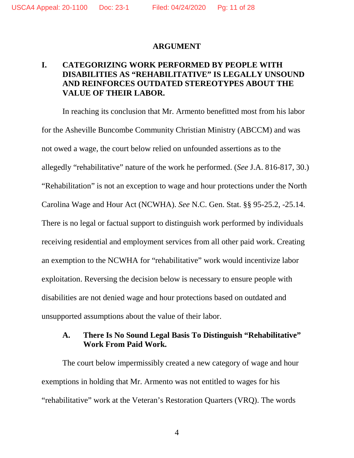#### **ARGUMENT**

#### **I. CATEGORIZING WORK PERFORMED BY PEOPLE WITH DISABILITIES AS "REHABILITATIVE" IS LEGALLY UNSOUND AND REINFORCES OUTDATED STEREOTYPES ABOUT THE VALUE OF THEIR LABOR.**

In reaching its conclusion that Mr. Armento benefitted most from his labor for the Asheville Buncombe Community Christian Ministry (ABCCM) and was not owed a wage, the court below relied on unfounded assertions as to the allegedly "rehabilitative" nature of the work he performed. (*See* J.A. 816-817, 30.) "Rehabilitation" is not an exception to wage and hour protections under the North Carolina Wage and Hour Act (NCWHA). *See* N.C. Gen. Stat. §§ 95-25.2, -25.14. There is no legal or factual support to distinguish work performed by individuals receiving residential and employment services from all other paid work. Creating an exemption to the NCWHA for "rehabilitative" work would incentivize labor exploitation. Reversing the decision below is necessary to ensure people with disabilities are not denied wage and hour protections based on outdated and unsupported assumptions about the value of their labor.

#### **A. There Is No Sound Legal Basis To Distinguish "Rehabilitative" Work From Paid Work.**

The court below impermissibly created a new category of wage and hour exemptions in holding that Mr. Armento was not entitled to wages for his "rehabilitative" work at the Veteran's Restoration Quarters (VRQ). The words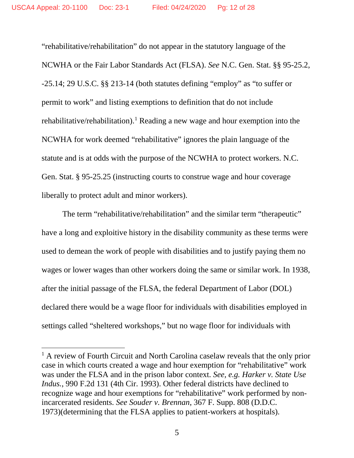"rehabilitative/rehabilitation" do not appear in the statutory language of the NCWHA or the Fair Labor Standards Act (FLSA). *See* N.C. Gen. Stat. §§ 95-25.2, -25.14; 29 U.S.C. §§ 213-14 (both statutes defining "employ" as "to suffer or permit to work" and listing exemptions to definition that do not include rehabilitative/rehabilitation).<sup>[1](#page-11-0)</sup> Reading a new wage and hour exemption into the NCWHA for work deemed "rehabilitative" ignores the plain language of the statute and is at odds with the purpose of the NCWHA to protect workers. N.C. Gen. Stat. § 95-25.25 (instructing courts to construe wage and hour coverage liberally to protect adult and minor workers).

The term "rehabilitative/rehabilitation" and the similar term "therapeutic" have a long and exploitive history in the disability community as these terms were used to demean the work of people with disabilities and to justify paying them no wages or lower wages than other workers doing the same or similar work. In 1938, after the initial passage of the FLSA, the federal Department of Labor (DOL) declared there would be a wage floor for individuals with disabilities employed in settings called "sheltered workshops," but no wage floor for individuals with

l

<span id="page-11-0"></span><sup>&</sup>lt;sup>1</sup> A review of Fourth Circuit and North Carolina caselaw reveals that the only prior case in which courts created a wage and hour exemption for "rehabilitative" work was under the FLSA and in the prison labor context. *See, e.g. Harker v. State Use Indus.*, 990 F.2d 131 (4th Cir. 1993). Other federal districts have declined to recognize wage and hour exemptions for "rehabilitative" work performed by nonincarcerated residents. *See Souder v. Brennan*, 367 F. Supp. 808 (D.D.C. 1973)(determining that the FLSA applies to patient-workers at hospitals).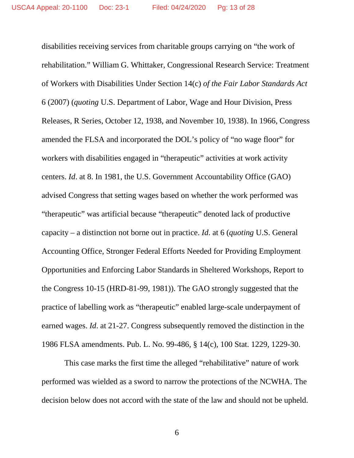disabilities receiving services from charitable groups carrying on "the work of rehabilitation." William G. Whittaker, Congressional Research Service: Treatment of Workers with Disabilities Under Section 14(c) *of the Fair Labor Standards Act*  6 (2007) (*quoting* U.S. Department of Labor, Wage and Hour Division, Press Releases, R Series, October 12, 1938, and November 10, 1938). In 1966, Congress amended the FLSA and incorporated the DOL's policy of "no wage floor" for workers with disabilities engaged in "therapeutic" activities at work activity centers. *Id*. at 8. In 1981, the U.S. Government Accountability Office (GAO) advised Congress that setting wages based on whether the work performed was "therapeutic" was artificial because "therapeutic" denoted lack of productive capacity – a distinction not borne out in practice. *Id*. at 6 (*quoting* U.S. General Accounting Office, Stronger Federal Efforts Needed for Providing Employment Opportunities and Enforcing Labor Standards in Sheltered Workshops, Report to the Congress 10-15 (HRD-81-99, 1981)). The GAO strongly suggested that the practice of labelling work as "therapeutic" enabled large-scale underpayment of earned wages. *Id*. at 21-27. Congress subsequently removed the distinction in the 1986 FLSA amendments. Pub. L. No. 99-486, § 14(c), 100 Stat. 1229, 1229-30.

This case marks the first time the alleged "rehabilitative" nature of work performed was wielded as a sword to narrow the protections of the NCWHA. The decision below does not accord with the state of the law and should not be upheld.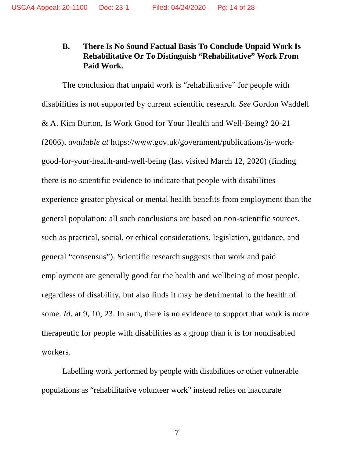#### **B. There Is No Sound Factual Basis To Conclude Unpaid Work Is Rehabilitative Or To Distinguish "Rehabilitative" Work From Paid Work.**

The conclusion that unpaid work is "rehabilitative" for people with disabilities is not supported by current scientific research. *See* Gordon Waddell & A. Kim Burton, Is Work Good for Your Health and Well-Being? 20-21 (2006), *available at* https://www.gov.uk/government/publications/is-workgood-for-your-health-and-well-being (last visited March 12, 2020) (finding there is no scientific evidence to indicate that people with disabilities experience greater physical or mental health benefits from employment than the general population; all such conclusions are based on non-scientific sources, such as practical, social, or ethical considerations, legislation, guidance, and general "consensus"). Scientific research suggests that work and paid employment are generally good for the health and wellbeing of most people, regardless of disability, but also finds it may be detrimental to the health of some. *Id*. at 9, 10, 23. In sum, there is no evidence to support that work is more therapeutic for people with disabilities as a group than it is for nondisabled workers.

Labelling work performed by people with disabilities or other vulnerable populations as "rehabilitative volunteer work" instead relies on inaccurate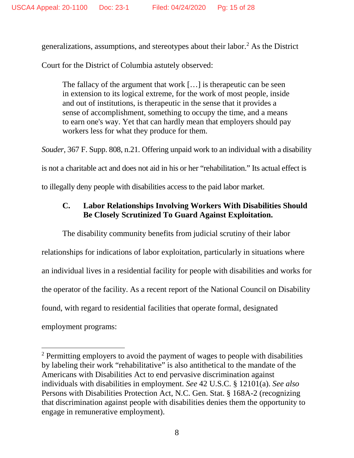generalizations, assumptions, and stereotypes about their labor.<sup>[2](#page-14-0)</sup> As the District

Court for the District of Columbia astutely observed:

The fallacy of the argument that work [...] is therapeutic can be seen in extension to its logical extreme, for the work of most people, inside and out of institutions, is therapeutic in the sense that it provides a sense of accomplishment, something to occupy the time, and a means to earn one's way. Yet that can hardly mean that employers should pay workers less for what they produce for them.

*Souder*, 367 F. Supp. 808, n.21. Offering unpaid work to an individual with a disability

is not a charitable act and does not aid in his or her "rehabilitation." Its actual effect is

to illegally deny people with disabilities access to the paid labor market.

#### **C. Labor Relationships Involving Workers With Disabilities Should Be Closely Scrutinized To Guard Against Exploitation.**

The disability community benefits from judicial scrutiny of their labor relationships for indications of labor exploitation, particularly in situations where an individual lives in a residential facility for people with disabilities and works for the operator of the facility. As a recent report of the National Council on Disability found, with regard to residential facilities that operate formal, designated employment programs:

l

<span id="page-14-0"></span><sup>&</sup>lt;sup>2</sup> Permitting employers to avoid the payment of wages to people with disabilities by labeling their work "rehabilitative" is also antithetical to the mandate of the Americans with Disabilities Act to end pervasive discrimination against individuals with disabilities in employment. *See* 42 U.S.C. § 12101(a). *See also*  Persons with Disabilities Protection Act, N.C. Gen. Stat. § 168A-2 (recognizing that discrimination against people with disabilities denies them the opportunity to engage in remunerative employment).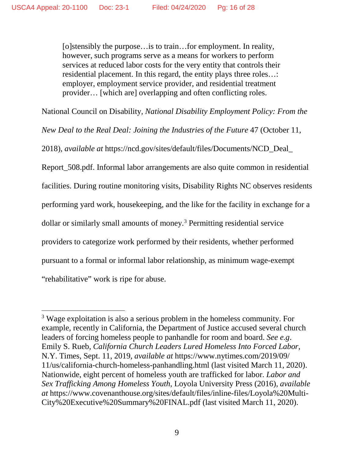[o]stensibly the purpose…is to train…for employment. In reality, however, such programs serve as a means for workers to perform services at reduced labor costs for the very entity that controls their residential placement. In this regard, the entity plays three roles…: employer, employment service provider, and residential treatment provider… [which are] overlapping and often conflicting roles.

National Council on Disability*, National Disability Employment Policy: From the* 

*New Deal to the Real Deal: Joining the Industries of the Future* 47 (October 11,

2018), *available at* https://ncd.gov/sites/default/files/Documents/NCD\_Deal\_

Report\_508.pdf. Informal labor arrangements are also quite common in residential

facilities. During routine monitoring visits, Disability Rights NC observes residents

performing yard work, housekeeping, and the like for the facility in exchange for a

dollar or similarly small amounts of money.[3](#page-15-0) Permitting residential service

providers to categorize work performed by their residents, whether performed

pursuant to a formal or informal labor relationship, as minimum wage-exempt

"rehabilitative" work is ripe for abuse.

l

<span id="page-15-0"></span><sup>&</sup>lt;sup>3</sup> Wage exploitation is also a serious problem in the homeless community. For example, recently in California, the Department of Justice accused several church leaders of forcing homeless people to panhandle for room and board. *See e.g*. Emily S. Rueb, *California Church Leaders Lured Homeless Into Forced Labor*, N.Y. Times, Sept. 11, 2019, *available at* https://www.nytimes.com/2019/09/ 11/us/california-church-homeless-panhandling.html (last visited March 11, 2020). Nationwide, eight percent of homeless youth are trafficked for labor. *Labor and Sex Trafficking Among Homeless Youth*, Loyola University Press (2016), *available at* https://www.covenanthouse.org/sites/default/files/inline-files/Loyola%20Multi-City%20Executive%20Summary%20FINAL.pdf (last visited March 11, 2020).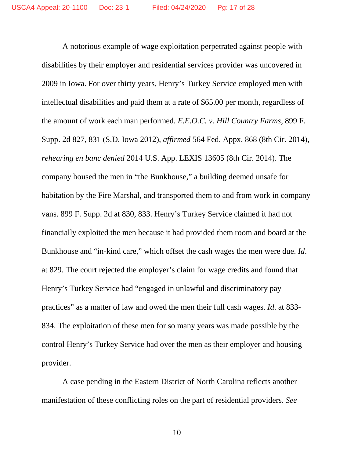A notorious example of wage exploitation perpetrated against people with disabilities by their employer and residential services provider was uncovered in 2009 in Iowa. For over thirty years, Henry's Turkey Service employed men with intellectual disabilities and paid them at a rate of \$65.00 per month, regardless of the amount of work each man performed. *E.E.O.C. v. Hill Country Farms*, 899 F. Supp. 2d 827, 831 (S.D. Iowa 2012), *affirmed* 564 Fed. Appx. 868 (8th Cir. 2014), *rehearing en banc denied* 2014 U.S. App. LEXIS 13605 (8th Cir. 2014). The company housed the men in "the Bunkhouse," a building deemed unsafe for habitation by the Fire Marshal, and transported them to and from work in company vans. 899 F. Supp. 2d at 830, 833. Henry's Turkey Service claimed it had not financially exploited the men because it had provided them room and board at the Bunkhouse and "in-kind care," which offset the cash wages the men were due. *Id*. at 829. The court rejected the employer's claim for wage credits and found that Henry's Turkey Service had "engaged in unlawful and discriminatory pay practices" as a matter of law and owed the men their full cash wages. *Id*. at 833- 834. The exploitation of these men for so many years was made possible by the control Henry's Turkey Service had over the men as their employer and housing provider.

A case pending in the Eastern District of North Carolina reflects another manifestation of these conflicting roles on the part of residential providers. *See*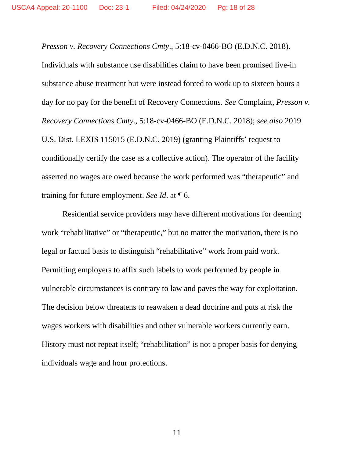*Presson v. Recovery Connections Cmty*., 5:18-cv-0466-BO (E.D.N.C. 2018). Individuals with substance use disabilities claim to have been promised live-in substance abuse treatment but were instead forced to work up to sixteen hours a day for no pay for the benefit of Recovery Connections. *See* Complaint, *Presson v. Recovery Connections Cmty.*, 5:18-cv-0466-BO (E.D.N.C. 2018); *see also* 2019 U.S. Dist. LEXIS 115015 (E.D.N.C. 2019) (granting Plaintiffs' request to conditionally certify the case as a collective action). The operator of the facility asserted no wages are owed because the work performed was "therapeutic" and training for future employment. *See Id*. at ¶ 6.

Residential service providers may have different motivations for deeming work "rehabilitative" or "therapeutic," but no matter the motivation, there is no legal or factual basis to distinguish "rehabilitative" work from paid work. Permitting employers to affix such labels to work performed by people in vulnerable circumstances is contrary to law and paves the way for exploitation. The decision below threatens to reawaken a dead doctrine and puts at risk the wages workers with disabilities and other vulnerable workers currently earn. History must not repeat itself; "rehabilitation" is not a proper basis for denying individuals wage and hour protections.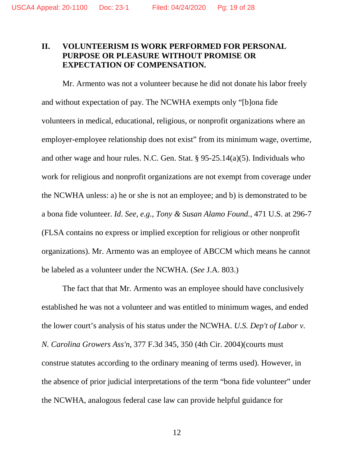#### **II. VOLUNTEERISM IS WORK PERFORMED FOR PERSONAL PURPOSE OR PLEASURE WITHOUT PROMISE OR EXPECTATION OF COMPENSATION.**

Mr. Armento was not a volunteer because he did not donate his labor freely and without expectation of pay. The NCWHA exempts only "[b]ona fide volunteers in medical, educational, religious, or nonprofit organizations where an employer-employee relationship does not exist" from its minimum wage, overtime, and other wage and hour rules. N.C. Gen. Stat. § 95-25.14(a)(5). Individuals who work for religious and nonprofit organizations are not exempt from coverage under the NCWHA unless: a) he or she is not an employee; and b) is demonstrated to be a bona fide volunteer. *Id*. *See, e.g.*, *Tony & Susan Alamo Found.*, 471 U.S. at 296-7 (FLSA contains no express or implied exception for religious or other nonprofit organizations). Mr. Armento was an employee of ABCCM which means he cannot be labeled as a volunteer under the NCWHA. (*See* J.A. 803.)

The fact that that Mr. Armento was an employee should have conclusively established he was not a volunteer and was entitled to minimum wages, and ended the lower court's analysis of his status under the NCWHA. *U.S. Dep't of Labor v. N. Carolina Growers Ass'n*, 377 F.3d 345, 350 (4th Cir. 2004)(courts must construe statutes according to the ordinary meaning of terms used). However, in the absence of prior judicial interpretations of the term "bona fide volunteer" under the NCWHA, analogous federal case law can provide helpful guidance for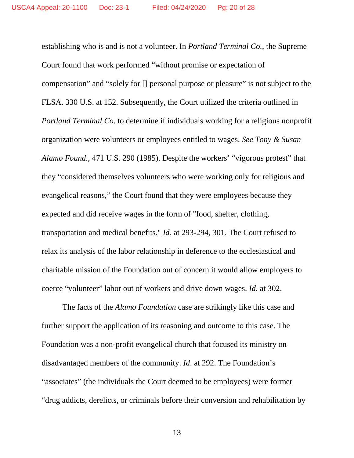establishing who is and is not a volunteer. In *Portland Terminal Co.*, the Supreme Court found that work performed "without promise or expectation of compensation" and "solely for [] personal purpose or pleasure" is not subject to the FLSA. 330 U.S. at 152. Subsequently, the Court utilized the criteria outlined in *Portland Terminal Co.* to determine if individuals working for a religious nonprofit organization were volunteers or employees entitled to wages. *See Tony & Susan Alamo Found.*, 471 U.S. 290 (1985). Despite the workers' "vigorous protest" that they "considered themselves volunteers who were working only for religious and evangelical reasons," the Court found that they were employees because they expected and did receive wages in the form of "food, shelter, clothing, transportation and medical benefits." *Id.* at 293-294, 301. The Court refused to relax its analysis of the labor relationship in deference to the ecclesiastical and charitable mission of the Foundation out of concern it would allow employers to coerce "volunteer" labor out of workers and drive down wages. *Id.* at 302.

The facts of the *Alamo Foundation* case are strikingly like this case and further support the application of its reasoning and outcome to this case. The Foundation was a non-profit evangelical church that focused its ministry on disadvantaged members of the community. *Id*. at 292. The Foundation's "associates" (the individuals the Court deemed to be employees) were former "drug addicts, derelicts, or criminals before their conversion and rehabilitation by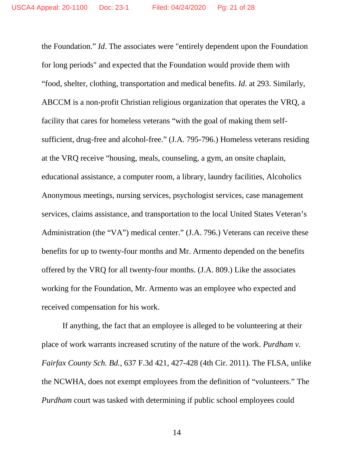the Foundation." *Id*. The associates were "entirely dependent upon the Foundation for long periods" and expected that the Foundation would provide them with "food, shelter, clothing, transportation and medical benefits. *Id*. at 293. Similarly, ABCCM is a non-profit Christian religious organization that operates the VRQ, a facility that cares for homeless veterans "with the goal of making them selfsufficient, drug-free and alcohol-free." (J.A. 795-796.) Homeless veterans residing at the VRQ receive "housing, meals, counseling, a gym, an onsite chaplain, educational assistance, a computer room, a library, laundry facilities, Alcoholics Anonymous meetings, nursing services, psychologist services, case management services, claims assistance, and transportation to the local United States Veteran's Administration (the "VA") medical center." (J.A. 796.) Veterans can receive these benefits for up to twenty-four months and Mr. Armento depended on the benefits offered by the VRQ for all twenty-four months. (J.A. 809.) Like the associates working for the Foundation, Mr. Armento was an employee who expected and received compensation for his work.

If anything, the fact that an employee is alleged to be volunteering at their place of work warrants increased scrutiny of the nature of the work. *Purdham v. Fairfax County Sch. Bd.*, 637 F.3d 421, 427-428 (4th Cir. 2011). The FLSA, unlike the NCWHA, does not exempt employees from the definition of "volunteers." The *Purdham* court was tasked with determining if public school employees could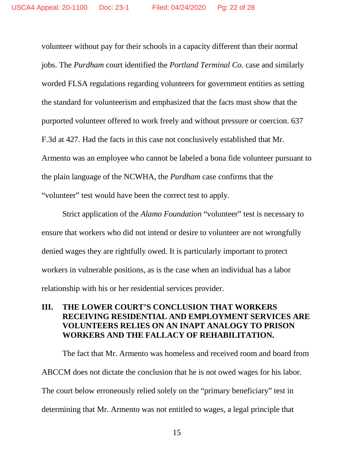volunteer without pay for their schools in a capacity different than their normal jobs. The *Purdham* court identified the *Portland Terminal Co.* case and similarly worded FLSA regulations regarding volunteers for government entities as setting the standard for volunteerism and emphasized that the facts must show that the purported volunteer offered to work freely and without pressure or coercion. 637 F.3d at 427. Had the facts in this case not conclusively established that Mr. Armento was an employee who cannot be labeled a bona fide volunteer pursuant to the plain language of the NCWHA, the *Purdham* case confirms that the "volunteer" test would have been the correct test to apply.

Strict application of the *Alamo Foundation* "volunteer" test is necessary to ensure that workers who did not intend or desire to volunteer are not wrongfully denied wages they are rightfully owed. It is particularly important to protect workers in vulnerable positions, as is the case when an individual has a labor relationship with his or her residential services provider.

#### **III. THE LOWER COURT'S CONCLUSION THAT WORKERS RECEIVING RESIDENTIAL AND EMPLOYMENT SERVICES ARE VOLUNTEERS RELIES ON AN INAPT ANALOGY TO PRISON WORKERS AND THE FALLACY OF REHABILITATION.**

The fact that Mr. Armento was homeless and received room and board from ABCCM does not dictate the conclusion that he is not owed wages for his labor. The court below erroneously relied solely on the "primary beneficiary" test in determining that Mr. Armento was not entitled to wages, a legal principle that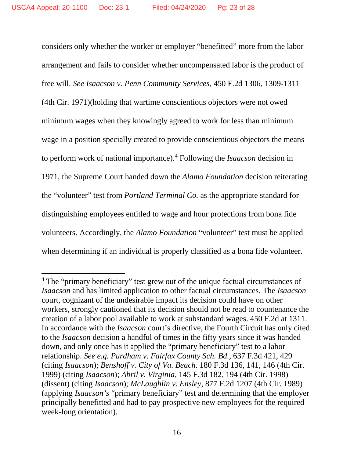$\overline{\phantom{a}}$ 

considers only whether the worker or employer "benefitted" more from the labor arrangement and fails to consider whether uncompensated labor is the product of free will. *See Isaacson v. Penn Community Services*, 450 F.2d 1306, 1309-1311 (4th Cir. 1971)(holding that wartime conscientious objectors were not owed minimum wages when they knowingly agreed to work for less than minimum wage in a position specially created to provide conscientious objectors the means to perform work of national importance).[4](#page-22-0) Following the *Isaacson* decision in 1971, the Supreme Court handed down the *Alamo Foundation* decision reiterating the "volunteer" test from *Portland Terminal Co.* as the appropriate standard for distinguishing employees entitled to wage and hour protections from bona fide volunteers. Accordingly, the *Alamo Foundation* "volunteer" test must be applied when determining if an individual is properly classified as a bona fide volunteer.

<span id="page-22-0"></span><sup>4</sup> The "primary beneficiary" test grew out of the unique factual circumstances of *Isaacson* and has limited application to other factual circumstances. The *Isaacson* court, cognizant of the undesirable impact its decision could have on other workers, strongly cautioned that its decision should not be read to countenance the creation of a labor pool available to work at substandard wages. 450 F.2d at 1311. In accordance with the *Isaacson* court's directive, the Fourth Circuit has only cited to the *Isaacson* decision a handful of times in the fifty years since it was handed down, and only once has it applied the "primary beneficiary" test to a labor relationship. *See e.g. Purdham v. Fairfax County Sch. Bd.*, 637 F.3d 421, 429 (citing *Isaacson*); *Benshoff v. City of Va. Beach*. 180 F.3d 136, 141, 146 (4th Cir. 1999) (citing *Isaacson*); *Abril v. Virginia*, 145 F.3d 182, 194 (4th Cir. 1998) (dissent) (citing *Isaacson*); *McLaughlin v. Ensley*, 877 F.2d 1207 (4th Cir. 1989) (applying *Isaacson's* "primary beneficiary" test and determining that the employer principally benefitted and had to pay prospective new employees for the required week-long orientation).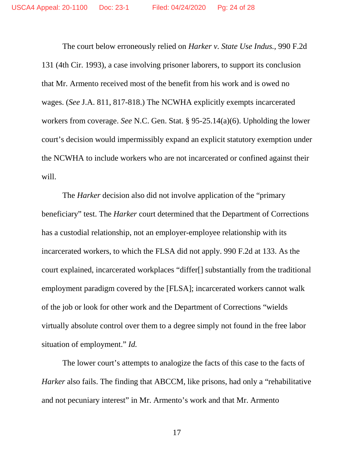The court below erroneously relied on *Harker v. State Use Indus.*, 990 F.2d 131 (4th Cir. 1993), a case involving prisoner laborers, to support its conclusion that Mr. Armento received most of the benefit from his work and is owed no wages. (*See* J.A. 811, 817-818.) The NCWHA explicitly exempts incarcerated workers from coverage. *See* N.C. Gen. Stat. § 95-25.14(a)(6). Upholding the lower court's decision would impermissibly expand an explicit statutory exemption under the NCWHA to include workers who are not incarcerated or confined against their will.

The *Harker* decision also did not involve application of the "primary beneficiary" test. The *Harker* court determined that the Department of Corrections has a custodial relationship, not an employer-employee relationship with its incarcerated workers, to which the FLSA did not apply. 990 F.2d at 133. As the court explained, incarcerated workplaces "differ[] substantially from the traditional employment paradigm covered by the [FLSA]; incarcerated workers cannot walk of the job or look for other work and the Department of Corrections "wields virtually absolute control over them to a degree simply not found in the free labor situation of employment." *Id.* 

The lower court's attempts to analogize the facts of this case to the facts of *Harker* also fails. The finding that ABCCM, like prisons, had only a "rehabilitative and not pecuniary interest" in Mr. Armento's work and that Mr. Armento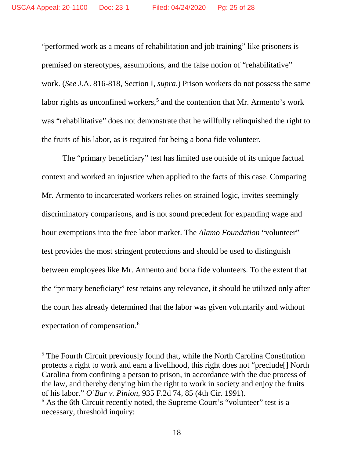"performed work as a means of rehabilitation and job training" like prisoners is premised on stereotypes, assumptions, and the false notion of "rehabilitative" work. (*See* J.A. 816-818, Section I, *supra*.) Prison workers do not possess the same labor rights as unconfined workers,<sup>5</sup> and the contention that Mr. Armento's work was "rehabilitative" does not demonstrate that he willfully relinquished the right to the fruits of his labor, as is required for being a bona fide volunteer.

The "primary beneficiary" test has limited use outside of its unique factual context and worked an injustice when applied to the facts of this case. Comparing Mr. Armento to incarcerated workers relies on strained logic, invites seemingly discriminatory comparisons, and is not sound precedent for expanding wage and hour exemptions into the free labor market. The *Alamo Foundation* "volunteer" test provides the most stringent protections and should be used to distinguish between employees like Mr. Armento and bona fide volunteers. To the extent that the "primary beneficiary" test retains any relevance, it should be utilized only after the court has already determined that the labor was given voluntarily and without expectation of compensation.<sup>[6](#page-24-1)</sup>

l

<span id="page-24-0"></span><sup>&</sup>lt;sup>5</sup> The Fourth Circuit previously found that, while the North Carolina Constitution protects a right to work and earn a livelihood, this right does not "preclude[] North Carolina from confining a person to prison, in accordance with the due process of the law, and thereby denying him the right to work in society and enjoy the fruits of his labor." *O'Bar v. Pinion*, 935 F.2d 74, 85 (4th Cir. 1991).

<span id="page-24-1"></span><sup>&</sup>lt;sup>6</sup> As the 6th Circuit recently noted, the Supreme Court's "volunteer" test is a necessary, threshold inquiry: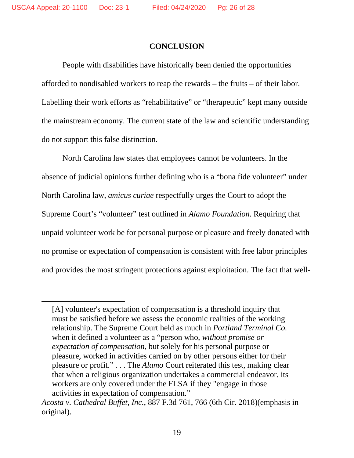l

#### **CONCLUSION**

People with disabilities have historically been denied the opportunities afforded to nondisabled workers to reap the rewards – the fruits – of their labor. Labelling their work efforts as "rehabilitative" or "therapeutic" kept many outside the mainstream economy. The current state of the law and scientific understanding do not support this false distinction.

North Carolina law states that employees cannot be volunteers. In the absence of judicial opinions further defining who is a "bona fide volunteer" under North Carolina law, *amicus curiae* respectfully urges the Court to adopt the Supreme Court's "volunteer" test outlined in *Alamo Foundation*. Requiring that unpaid volunteer work be for personal purpose or pleasure and freely donated with no promise or expectation of compensation is consistent with free labor principles and provides the most stringent protections against exploitation. The fact that well-

<sup>[</sup>A] volunteer's expectation of compensation is a threshold inquiry that must be satisfied before we assess the economic realities of the working relationship. The Supreme Court held as much in *Portland Terminal Co.* when it defined a volunteer as a "person who, *without promise or expectation of compensation*, but solely for his personal purpose or pleasure, worked in activities carried on by other persons either for their pleasure or profit." . . . The *Alamo* Court reiterated this test, making clear that when a religious organization undertakes a commercial endeavor, its workers are only covered under the FLSA if they "engage in those activities in expectation of compensation."

*Acosta v. Cathedral Buffet, Inc.*, 887 F.3d 761, 766 (6th Cir. 2018)(emphasis in original).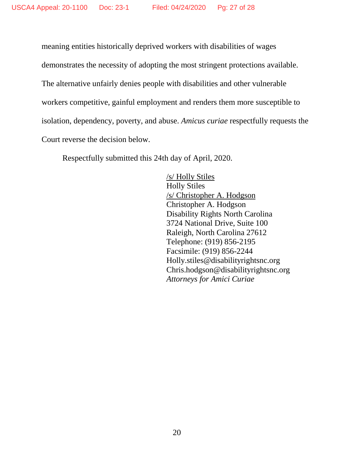meaning entities historically deprived workers with disabilities of wages demonstrates the necessity of adopting the most stringent protections available. The alternative unfairly denies people with disabilities and other vulnerable workers competitive, gainful employment and renders them more susceptible to isolation, dependency, poverty, and abuse. *Amicus curiae* respectfully requests the Court reverse the decision below.

Respectfully submitted this 24th day of April, 2020.

/s/ Holly Stiles Holly Stiles /s/ Christopher A. Hodgson Christopher A. Hodgson Disability Rights North Carolina 3724 National Drive, Suite 100 Raleigh, North Carolina 27612 Telephone: (919) 856-2195 Facsimile: (919) 856-2244 Holly.stiles@disabilityrightsnc.org Chris.hodgson@disabilityrightsnc.org *Attorneys for Amici Curiae*